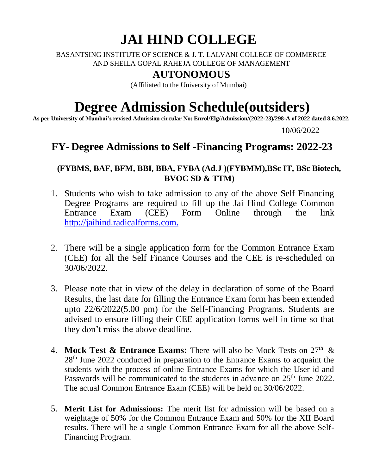# **JAI HIND COLLEGE**

BASANTSING INSTITUTE OF SCIENCE & J. T. LALVANI COLLEGE OF COMMERCE AND SHEILA GOPAL RAHEJA COLLEGE OF MANAGEMENT

### **AUTONOMOUS**

(Affiliated to the University of Mumbai)

# **Degree Admission Schedule(outsiders)**

**As per University of Mumbai's revised Admission circular No: Enrol/Elg/Admission/(2022-23)/298-A of 2022 dated 8.6.2022.**

10/06/2022

## **FY- Degree Admissions to Self -Financing Programs: 2022-23**

#### **(FYBMS, BAF, BFM, BBI, BBA, FYBA (Ad.J )(FYBMM),BSc IT, BSc Biotech, BVOC SD & TTM)**

- 1. Students who wish to take admission to any of the above Self Financing Degree Programs are required to fill up the Jai Hind College Common Entrance Exam (CEE) Form Online through the link [http://jaihind.radicalforms.com.](http://jaihind.radicalforms.com./)
- 2. There will be a single application form for the Common Entrance Exam (CEE) for all the Self Finance Courses and the CEE is re-scheduled on 30/06/2022.
- 3. Please note that in view of the delay in declaration of some of the Board Results, the last date for filling the Entrance Exam form has been extended upto 22/6/2022(5.00 pm) for the Self-Financing Programs. Students are advised to ensure filling their CEE application forms well in time so that they don't miss the above deadline.
- 4. **Mock Test & Entrance Exams:** There will also be Mock Tests on  $27<sup>th</sup>$  & 28th June 2022 conducted in preparation to the Entrance Exams to acquaint the students with the process of online Entrance Exams for which the User id and Passwords will be communicated to the students in advance on 25<sup>th</sup> June 2022. The actual Common Entrance Exam (CEE) will be held on 30/06/2022.
- 5. **Merit List for Admissions:** The merit list for admission will be based on a weightage of 50% for the Common Entrance Exam and 50% for the XII Board results. There will be a single Common Entrance Exam for all the above Self-Financing Program.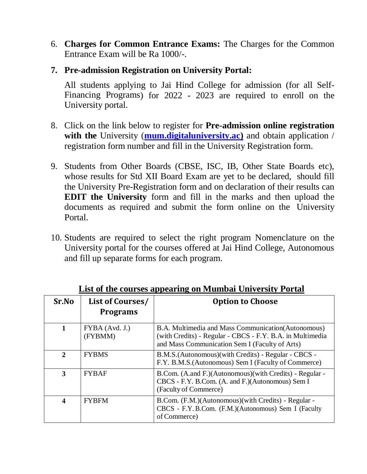- 6. **Charges for Common Entrance Exams:** The Charges for the Common Entrance Exam will be Ra 1000/-.
- **7. Pre-admission Registration on University Portal:**

All students applying to Jai Hind College for admission (for all Self-Financing Programs) for 2022 - 2023 are required to enroll on the University portal.

- 8. Click on the link below to register for **Pre-admission online registration with the** University (**mum.digitaluniversity.ac)** and obtain application / registration form number and fill in the University Registration form.
- 9. Students from Other Boards (CBSE, ISC, IB, Other State Boards etc), whose results for Std XII Board Exam are yet to be declared, should fill the University Pre-Registration form and on declaration of their results can **EDIT the University** form and fill in the marks and then upload the documents as required and submit the form online on the University Portal.
- 10. Students are required to select the right program Nomenclature on the University portal for the courses offered at Jai Hind College, Autonomous and fill up separate forms for each program.

| Sr.No        | List of Courses/<br><b>Programs</b> | <b>Option to Choose</b>                                                                                                                                            |
|--------------|-------------------------------------|--------------------------------------------------------------------------------------------------------------------------------------------------------------------|
| 1            | FYBA (Avd. J.)<br>(FYBMM)           | B.A. Multimedia and Mass Communication (Autonomous)<br>(with Credits) - Regular - CBCS - F.Y. B.A. in Multimedia<br>and Mass Communication Sem I (Faculty of Arts) |
| $\mathbf{2}$ | <b>FYBMS</b>                        | B.M.S. (Autonomous) (with Credits) - Regular - CBCS -<br>F.Y. B.M.S. (Autonomous) Sem I (Faculty of Commerce)                                                      |
| 3            | <b>FYBAF</b>                        | B.Com. (A.and F.)(Autonomous)(with Credits) - Regular -<br>CBCS - F.Y. B.Com. (A. and F.) (Autonomous) Sem I<br>(Faculty of Commerce)                              |
| 4            | <b>FYBFM</b>                        | B.Com. (F.M.)(Autonomous)(with Credits) - Regular -<br>CBCS - F.Y. B.Com. (F.M.)(Autonomous) Sem I (Faculty<br>of Commerce)                                        |

**List of the courses appearing on Mumbai University Portal**